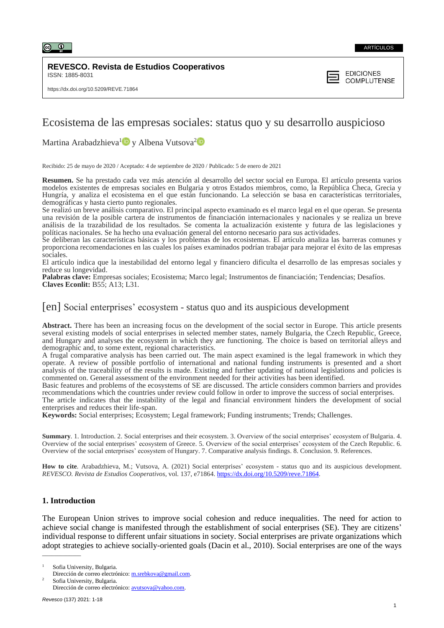

#### **REVESCO. Revista de Estudios Cooperativos** ISSN: 1885-8031



# Ecosistema de las empresas sociales: status quo y su desarrollo auspicioso

Martina Arabadzhieva<sup>[1](https://orcid.org/0000-0001-5809-9443)</sup> $\bullet$  y Albena Vutsova<sup>[2](https://orcid.org/0000-0001-8223-6727)</sup>

Recibido: 25 de mayo de 2020 / Aceptado: 4 de septiembre de 2020 / Publicado: 5 de enero de 2021

**Resumen.** Se ha prestado cada vez más atención al desarrollo del sector social en Europa. El artículo presenta varios modelos existentes de empresas sociales en Bulgaria y otros Estados miembros, como, la República Checa, Grecia y Hungría, y analiza el ecosistema en el que están funcionando. La selección se basa en características territoriales, demográficas y hasta cierto punto regionales.

Se realizó un breve análisis comparativo. El principal aspecto examinado es el marco legal en el que operan. Se presenta una revisión de la posible cartera de instrumentos de financiación internacionales y nacionales y se realiza un breve análisis de la trazabilidad de los resultados. Se comenta la actualización existente y futura de las legislaciones y políticas nacionales. Se ha hecho una evaluación general del entorno necesario para sus actividades.

Se deliberan las características básicas y los problemas de los ecosistemas. El artículo analiza las barreras comunes y proporciona recomendaciones en las cuales los países examinados podrían trabajar para mejorar el éxito de las empresas sociales.

El artículo indica que la inestabilidad del entorno legal y financiero dificulta el desarrollo de las empresas sociales y reduce su longevidad.

**Palabras clave:** Empresas sociales; Ecosistema; Marco legal; Instrumentos de financiación; Tendencias; Desafíos. **Claves Econlit:** B55; A13; L31*.*

# [en] Social enterprises' ecosystem - status quo and its auspicious development

**Abstract.** There has been an increasing focus on the development of the social sector in Europe. This article presents several existing models of social enterprises in selected member states, namely Bulgaria, the Czech Republic, Greece, and Hungary and analyses the ecosystem in which they are functioning. The choice is based on territorial alleys and demographic and, to some extent, regional characteristics.

A frugal comparative analysis has been carried out. The main aspect examined is the legal framework in which they operate. A review of possible portfolio of international and national funding instruments is presented and a short analysis of the traceability of the results is made. Existing and further updating of national legislations and policies is commented on. General assessment of the environment needed for their activities has been identified.

Basic features and problems of the ecosystems of SE are discussed. The article considers common barriers and provides recommendations which the countries under review could follow in order to improve the success of social enterprises. The article indicates that the instability of the legal and financial environment hinders the development of social

enterprises and reduces their life-span.

**Keywords:** Social enterprises; Ecosystem; Legal framework; Funding instruments; Trends; Challenges.

**Summary**. 1. Introduction. 2. Social enterprises and their ecosystem. 3. Overview of the social enterprises' ecosystem of Bulgaria. 4. Overview of the social enterprises' ecosystem of Greece. 5. Overview of the social enterprises' ecosystem of the Czech Republic. 6. Overview of the social enterprises' ecosystem of Hungary. 7. Comparative analysis findings. 8. Conclusion. 9. References.

**How to cite**. Arabadzhieva, M.; Vutsova, A. (2021) Social enterprises' ecosystem - status quo and its auspicious development. *REVESCO. Revista de Estudios Cooperativos*, vol. 137, e71864. [https://dx.doi.org/10.5209/reve.71864.](https://dx.doi.org/10.5209/reve.71864) 

# **1. Introduction**

 $\overline{\phantom{a}}$ 

The European Union strives to improve social cohesion and reduce inequalities. The need for action to achieve social change is manifested through the establishment of social enterprises (SE). They are citizens' individual response to different unfair situations in society. Social enterprises are private organizations which adopt strategies to achieve socially-oriented goals (Dacin et al., 2010). Social enterprises are one of the ways

Sofia University, Bulgaria.

Dirección de correo electrónico: [m.srebkova@gmail.com.](mailto:m.srebkova@gmail.com)

Sofia University, Bulgaria. Dirección de correo electrónico: [avutsova@yahoo.com.](mailto:avutsova@yahoo.com)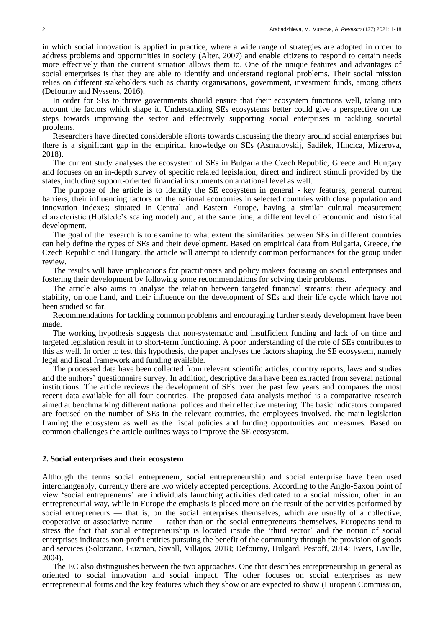in which social innovation is applied in practice, where a wide range of strategies are adopted in order to address problems and opportunities in society (Alter, 2007) and enable citizens to respond to certain needs more effectively than the current situation allows them to. One of the unique features and advantages of social enterprises is that they are able to identify and understand regional problems. Their social mission relies on different stakeholders such as charity organisations, government, investment funds, among others (Defourny and Nyssens, 2016).

In order for SEs to thrive governments should ensure that their ecosystem functions well, taking into account the factors which shape it. Understanding SEs ecosystems better could give a perspective on the steps towards improving the sector and effectively supporting social enterprises in tackling societal problems.

Researchers have directed considerable efforts towards discussing the theory around social enterprises but there is a significant gap in the empirical knowledge on SEs (Asmalovskij, Sadilek, Hincica, Mizerova, 2018).

The current study analyses the ecosystem of SEs in Bulgaria the Czech Republic, Greece and Hungary and focuses on an in-depth survey of specific related legislation, direct and indirect stimuli provided by the states, including support-oriented financial instruments on a national level as well.

The purpose of the article is to identify the SE ecosystem in general - key features, general current barriers, their influencing factors on the national economies in selected countries with close population and innovation indexes; situated in Central and Eastern Europe, having a similar cultural measurement characteristic (Hofstede's scaling model) and, at the same time, a different level of economic and historical development.

The goal of the research is to examine to what extent the similarities between SEs in different countries can help define the types of SEs and their development. Based on empirical data from Bulgaria, Greece, the Czech Republic and Hungary, the article will attempt to identify common performances for the group under review.

The results will have implications for practitioners and policy makers focusing on social enterprises and fostering their development by following some recommendations for solving their problems.

The article also aims to analyse the relation between targeted financial streams; their adequacy and stability, on one hand, and their influence on the development of SEs and their life cycle which have not been studied so far.

Recommendations for tackling common problems and encouraging further steady development have been made.

The working hypothesis suggests that non-systematic and insufficient funding and lack of on time and targeted legislation result in to short-term functioning. A poor understanding of the role of SEs contributes to this as well. In order to test this hypothesis, the paper analyses the factors shaping the SE ecosystem, namely legal and fiscal framework and funding available.

The processed data have been collected from relevant scientific articles, country reports, laws and studies and the authors' questionnaire survey. In addition, descriptive data have been extracted from several national institutions. The article reviews the development of SEs over the past few years and compares the most recent data available for all four countries. The proposed data analysis method is a comparative research aimed at benchmarking different national polices and their effective metering. The basic indicators compared are focused on the number of SEs in the relevant countries, the employees involved, the main legislation framing the ecosystem as well as the fiscal policies and funding opportunities and measures. Based on common challenges the article outlines ways to improve the SE ecosystem.

#### **2. Social enterprises and their ecosystem**

Although the terms social entrepreneur, social entrepreneurship and social enterprise have been used interchangeably, currently there are two widely accepted perceptions. According to the Anglo-Saxon point of view 'social entrepreneurs' are individuals launching activities dedicated to a social mission, often in an entrepreneurial way, while in Europe the emphasis is placed more on the result of the activities performed by social entrepreneurs — that is, on the social enterprises themselves, which are usually of a collective, cooperative or associative nature — rather than on the social entrepreneurs themselves. Europeans tend to stress the fact that social entrepreneurship is located inside the 'third sector' and the notion of social enterprises indicates non-profit entities pursuing the benefit of the community through the provision of goods and services (Solorzano, Guzman, Savall, Villajos, 2018; Defourny, Hulgard, Pestoff, 2014; Evers, Laville, 2004).

The EC also distinguishes between the two approaches. One that describes entrepreneurship in general as oriented to social innovation and social impact. The other focuses on social enterprises as new entrepreneurial forms and the key features which they show or are expected to show (European Commission,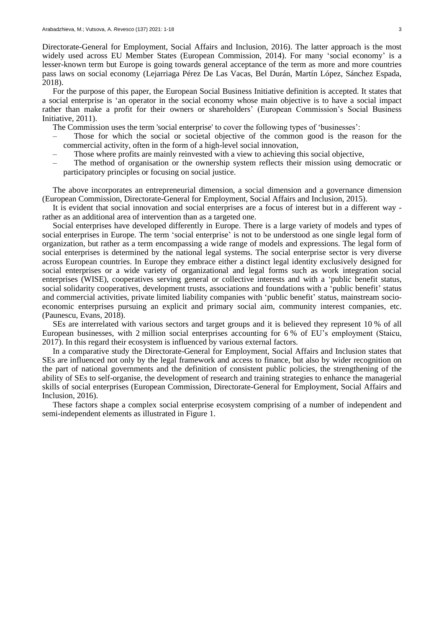Directorate-General for Employment, Social Affairs and Inclusion, 2016). The latter approach is the most widely used across EU Member States (European Commission, 2014). For many 'social economy' is a lesser-known term but Europe is going towards general acceptance of the term as more and more countries pass laws on social economy (Lejarriaga Pérez De Las Vacas, Bel Durán, Martín López, Sánchez Espada, 2018).

For the purpose of this paper, the European Social Business Initiative definition is accepted. It states that a social enterprise is 'an operator in the social economy whose main objective is to have a social impact rather than make a profit for their owners or shareholders' (European Commission's Social Business Initiative, 2011).

The Commission uses the term 'social enterprise' to cover the following types of 'businesses':

- Those for which the social or societal objective of the common good is the reason for the commercial activity, often in the form of a high-level social innovation,
- Those where profits are mainly reinvested with a view to achieving this social objective,
- The method of organisation or the ownership system reflects their mission using democratic or participatory principles or focusing on social justice.

The above incorporates an entrepreneurial dimension, a social dimension and a governance dimension (European Commission, Directorate-General for Employment, Social Affairs and Inclusion, 2015).

It is evident that social innovation and social enterprises are a focus of interest but in a different way rather as an additional area of intervention than as a targeted one.

Social enterprises have developed differently in Europe. There is a large variety of models and types of social enterprises in Europe. The term 'social enterprise' is not to be understood as one single legal form of organization, but rather as a term encompassing a wide range of models and expressions. The legal form of social enterprises is determined by the national legal systems. The social enterprise sector is very diverse across European countries. In Europe they embrace either a distinct legal identity exclusively designed for social enterprises or a wide variety of organizational and legal forms such as work integration social enterprises (WISE), cooperatives serving general or collective interests and with a 'public benefit status, social solidarity cooperatives, development trusts, associations and foundations with a 'public benefit' status and commercial activities, private limited liability companies with 'public benefit' status, mainstream socioeconomic enterprises pursuing an explicit and primary social aim, community interest companies, etc. (Paunescu, Evans, 2018).

SEs are interrelated with various sectors and target groups and it is believed they represent 10 % of all European businesses, with 2 million social enterprises accounting for 6 % of EU's employment (Staicu, 2017). In this regard their ecosystem is influenced by various external factors.

In a comparative study the Directorate-General for Employment, Social Affairs and Inclusion states that SEs are influenced not only by the legal framework and access to finance, but also by wider recognition on the part of national governments and the definition of consistent public policies, the strengthening of the ability of SEs to self-organise, the development of research and training strategies to enhance the managerial skills of social enterprises (European Commission, Directorate-General for Employment, Social Affairs and Inclusion, 2016).

These factors shape a complex social enterprise ecosystem comprising of a number of independent and semi-independent elements as illustrated in Figure 1.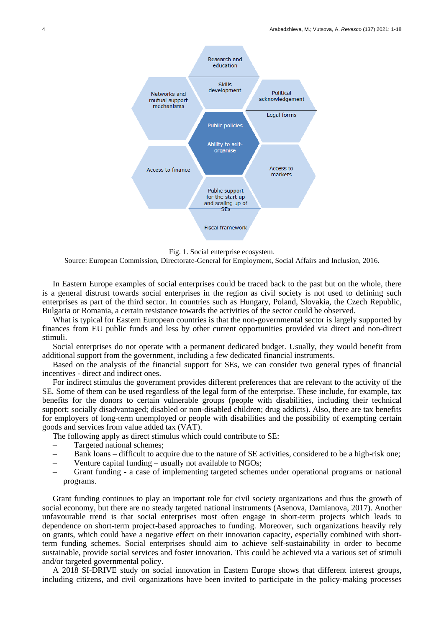

Fig. 1. Social enterprise ecosystem.

Source: European Commission, Directorate-General for Employment, Social Affairs and Inclusion, 2016.

In Eastern Europe examples of social enterprises could be traced back to the past but on the whole, there is a general distrust towards social enterprises in the region as civil society is not used to defining such enterprises as part of the third sector. In countries such as Hungary, Poland, Slovakia, the Czech Republic, Bulgaria or Romania, a certain resistance towards the activities of the sector could be observed.

What is typical for Eastern European countries is that the non-governmental sector is largely supported by finances from EU public funds and less by other current opportunities provided via direct and non-direct stimuli.

Social enterprises do not operate with a permanent dedicated budget. Usually, they would benefit from additional support from the government, including a few dedicated financial instruments.

Based on the analysis of the financial support for SEs, we can consider two general types of financial incentives - direct and indirect ones.

For indirect stimulus the government provides different preferences that are relevant to the activity of the SE. Some of them can be used regardless of the legal form of the enterprise. These include, for example, tax benefits for the donors to certain vulnerable groups (people with disabilities, including their technical support; socially disadvantaged; disabled or non-disabled children; drug addicts). Also, there are tax benefits for employers of long-term unemployed or people with disabilities and the possibility of exempting certain goods and services from value added tax (VAT).

The following apply as direct stimulus which could contribute to SE:

- Targeted national schemes;
- Bank loans difficult to acquire due to the nature of SE activities, considered to be a high-risk one;
- Venture capital funding usually not available to NGOs;
- Grant funding a case of implementing targeted schemes under operational programs or national programs.

Grant funding continues to play an important role for civil society organizations and thus the growth of social economy, but there are no steady targeted national instruments (Asenova, Damianova, 2017). Another unfavourable trend is that social enterprises most often engage in short-term projects which leads to dependence on short-term project-based approaches to funding. Moreover, such organizations heavily rely on grants, which could have a negative effect on their innovation capacity, especially combined with shortterm funding schemes. Social enterprises should aim to achieve self-sustainability in order to become sustainable, provide social services and foster innovation. This could be achieved via a various set of stimuli and/or targeted governmental policy.

A 2018 SI-DRIVE study on social innovation in Eastern Europe shows that different interest groups, including citizens, and civil organizations have been invited to participate in the policy-making processes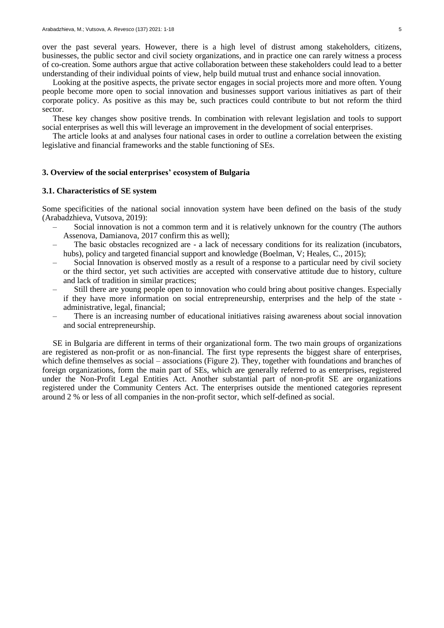over the past several years. However, there is a high level of distrust among stakeholders, citizens, businesses, the public sector and civil society organizations, and in practice one can rarely witness a process of co-creation. Some authors argue that active collaboration between these stakeholders could lead to a better understanding of their individual points of view, help build mutual trust and enhance social innovation.

Looking at the positive aspects, the private sector engages in social projects more and more often. Young people become more open to social innovation and businesses support various initiatives as part of their corporate policy. As positive as this may be, such practices could contribute to but not reform the third sector.

These key changes show positive trends. In combination with relevant legislation and tools to support social enterprises as well this will leverage an improvement in the development of social enterprises.

The article looks at and analyses four national cases in order to outline a correlation between the existing legislative and financial frameworks and the stable functioning of SEs.

#### **3. Overview of the social enterprises' ecosystem of Bulgaria**

## **3.1. Characteristics of SE system**

Some specificities of the national social innovation system have been defined on the basis of the study (Arabadzhieva, Vutsova, 2019):

- Social innovation is not a common term and it is relatively unknown for the country (The authors Assenova, Damianova, 2017 confirm this as well);
- The basic obstacles recognized are a lack of necessary conditions for its realization (incubators, hubs), policy and targeted financial support and knowledge (Boelman, V; Heales, C., 2015);
- Social Innovation is observed mostly as a result of a response to a particular need by civil society or the third sector, yet such activities are accepted with conservative attitude due to history, culture and lack of tradition in similar practices;
- Still there are young people open to innovation who could bring about positive changes. Especially if they have more information on social entrepreneurship, enterprises and the help of the state administrative, legal, financial;
- There is an increasing number of educational initiatives raising awareness about social innovation and social entrepreneurship.

SE in Bulgaria are different in terms of their organizational form. The two main groups of organizations are registered as non-profit or as non-financial. The first type represents the biggest share of enterprises, which define themselves as social – associations (Figure 2). They, together with foundations and branches of foreign organizations, form the main part of SEs, which are generally referred to as enterprises, registered under the Non-Profit Legal Entities Act. Another substantial part of non-profit SE are organizations registered under the Community Centers Act. The enterprises outside the mentioned categories represent around 2 % or less of all companies in the non-profit sector, which self-defined as social.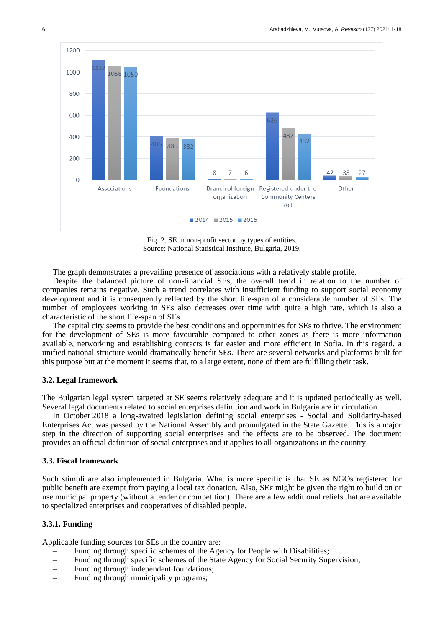

Fig. 2. SE in non-profit sector by types of entities. Source: National Statistical Institute, Bulgaria, 2019.

The graph demonstrates a prevailing presence of associations with a relatively stable profile.

Despite the balanced picture of non-financial SEs, the overall trend in relation to the number of companies remains negative. Such a trend correlates with insufficient funding to support social economy development and it is consequently reflected by the short life-span of a considerable number of SEs. The number of employees working in SEs also decreases over time with quite a high rate, which is also a characteristic of the short life-span of SEs.

The capital city seems to provide the best conditions and opportunities for SEs to thrive. The environment for the development of SEs is more favourable compared to other zones as there is more information available, networking and establishing contacts is far easier and more efficient in Sofia. In this regard, a unified national structure would dramatically benefit SEs. There are several networks and platforms built for this purpose but at the moment it seems that, to a large extent, none of them are fulfilling their task.

## **3.2. Legal framework**

The Bulgarian legal system targeted at SE seems relatively adequate and it is updated periodically as well. Several legal documents related to social enterprises definition and work in Bulgaria are in circulation.

In October 2018 a long-awaited legislation defining social enterprises - Social and Solidarity-based Enterprises Act was passed by the National Assembly and promulgated in the State Gazette. This is a major step in the direction of supporting social enterprises and the effects are to be observed. The document provides an official definition of social enterprises and it applies to all organizations in the country.

#### **3.3. Fiscal framework**

Such stimuli are also implemented in Bulgaria. What is more specific is that SE as NGOs registered for public benefit are exempt from paying a local tax donation. Also, SEя might be given the right to build on or use municipal property (without a tender or competition). There are a few additional reliefs that are available to specialized enterprises and cooperatives of disabled people.

# **3.3.1. Funding**

Applicable funding sources for SEs in the country are:

- Funding through specific schemes of the Agency for People with Disabilities;
- Funding through specific schemes of the State Agency for Social Security Supervision;
- Funding through independent foundations;
- Funding through municipality programs;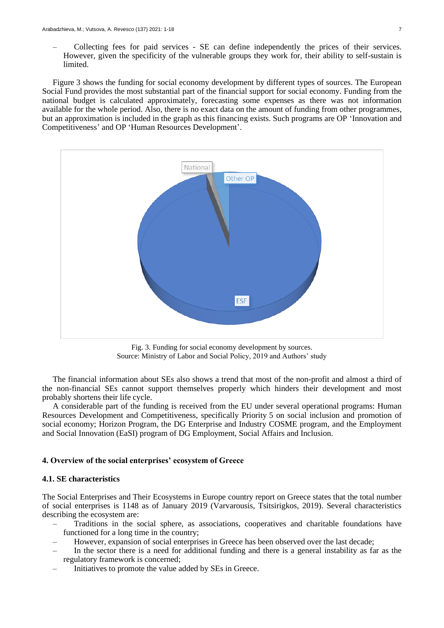– Collecting fees for paid services - SE can define independently the prices of their services. However, given the specificity of the vulnerable groups they work for, their ability to self-sustain is limited.

Figure 3 shows the funding for social economy development by different types of sources. The European Social Fund provides the most substantial part of the financial support for social economy. Funding from the national budget is calculated approximately, forecasting some expenses as there was not information available for the whole period. Also, there is no exact data on the amount of funding from other programmes, but an approximation is included in the graph as this financing exists. Such programs are OP 'Innovation and Competitiveness' and OP 'Human Resources Development'.



Fig. 3. Funding for social economy development by sources. Source: Ministry of Labor and Social Policy, 2019 and Authors' study

The financial information about SEs also shows a trend that most of the non-profit and almost a third of the non-financial SEs cannot support themselves properly which hinders their development and most probably shortens their life cycle.

A considerable part of the funding is received from the EU under several operational programs: Human Resources Development and Competitiveness, specifically Priority 5 on social inclusion and promotion of social economy; Horizon Program, the DG Enterprise and Industry COSME program, and the Employment and Social Innovation (EaSI) program of DG Employment, Social Affairs and Inclusion.

# **4. Overview of the social enterprises' ecosystem of Greece**

# **4.1. SE characteristics**

The Social Enterprises and Their Ecosystems in Europe country report on Greece states that the total number of social enterprises is 1148 as of January 2019 (Varvarousis, Tsitsirigkos, 2019). Several characteristics describing the ecosystem are:

- Traditions in the social sphere, as associations, cooperatives and charitable foundations have functioned for a long time in the country;
- However, expansion of social enterprises in Greece has been observed over the last decade;
- In the sector there is a need for additional funding and there is a general instability as far as the regulatory framework is concerned;
- Initiatives to promote the value added by SEs in Greece.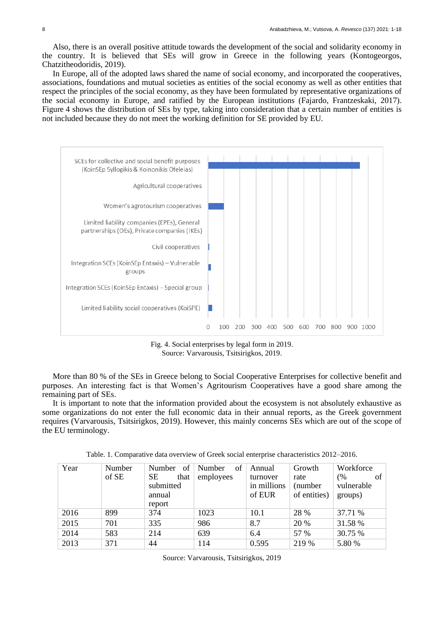Also, there is an overall positive attitude towards the development of the social and solidarity economy in the country. It is believed that SEs will grow in Greece in the following years (Kontogeorgos, Chatzitheodoridis, 2019).

In Europe, all of the adopted laws shared the name of social economy, and incorporated the cooperatives, associations, foundations and mutual societies as entities of the social economy as well as other entities that respect the principles of the social economy, as they have been formulated by representative organizations of the social economy in Europe, and ratified by the European institutions (Fajardo, Frantzeskaki, 2017). Figure 4 shows the distribution of SEs by type, taking into consideration that a certain number of entities is not included because they do not meet the working definition for SE provided by EU.



Fig. 4. Social enterprises by legal form in 2019. Source: Varvarousis, Tsitsirigkos, 2019.

More than 80 % of the SEs in Greece belong to Social Cooperative Enterprises for collective benefit and purposes. An interesting fact is that Women's Agritourism Cooperatives have a good share among the remaining part of SEs.

It is important to note that the information provided about the ecosystem is not absolutely exhaustive as some organizations do not enter the full economic data in their annual reports, as the Greek government requires (Varvarousis, Tsitsirigkos, 2019). However, this mainly concerns SEs which are out of the scope of the EU terminology.

| Year | Number | of<br><b>Number</b> | of<br>Number | Annual      | Growth       | Workforce  |
|------|--------|---------------------|--------------|-------------|--------------|------------|
|      | of SE  | SE.<br>that         | employees    | turnover    | rate         | (%<br>of   |
|      |        | submitted           |              | in millions | (number)     | vulnerable |
|      |        | annual              |              | of EUR      | of entities) | groups)    |
|      |        | report              |              |             |              |            |
| 2016 | 899    | 374                 | 1023         | 10.1        | 28 %         | 37.71 %    |
| 2015 | 701    | 335                 | 986          | 8.7         | 20 %         | 31.58 %    |
| 2014 | 583    | 214                 | 639          | 6.4         | 57 %         | 30.75 %    |
| 2013 | 371    | 44                  | 114          | 0.595       | 219 %        | 5.80 %     |

Table. 1. Comparative data overview of Greek social enterprise characteristics 2012–2016.

Source: Varvarousis, Tsitsirigkos, 2019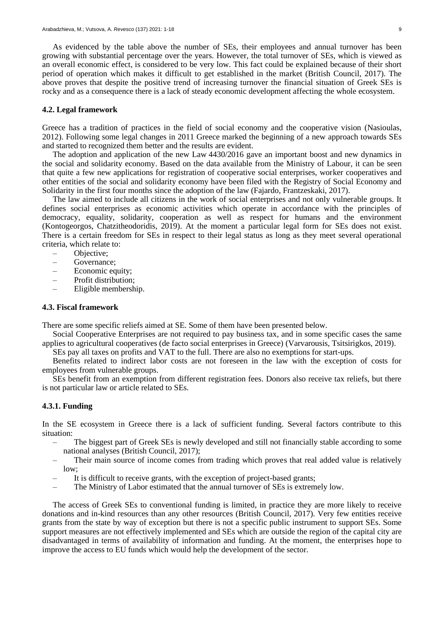As evidenced by the table above the number of SEs, their employees and annual turnover has been growing with substantial percentage over the years. However, the total turnover of SEs, which is viewed as an overall economic effect, is considered to be very low. This fact could be explained because of their short period of operation which makes it difficult to get established in the market (British Council, 2017). The above proves that despite the positive trend of increasing turnover the financial situation of Greek SEs is rocky and as a consequence there is a lack of steady economic development affecting the whole ecosystem.

## **4.2. Legal framework**

Greece has a tradition of practices in the field of social economy and the cooperative vision (Nasioulas, 2012). Following some legal changes in 2011 Greece marked the beginning of a new approach towards SEs and started to recognized them better and the results are evident.

The adoption and application of the new Law 4430/2016 gave an important boost and new dynamics in the social and solidarity economy. Based on the data available from the Ministry of Labour, it can be seen that quite a few new applications for registration of cooperative social enterprises, worker cooperatives and other entities of the social and solidarity economy have been filed with the Registry of Social Economy and Solidarity in the first four months since the adoption of the law (Fajardo, Frantzeskaki, 2017).

The law aimed to include all citizens in the work of social enterprises and not only vulnerable groups. It defines social enterprises as economic activities which operate in accordance with the principles of democracy, equality, solidarity, cooperation as well as respect for humans and the environment (Kontogeorgos, Chatzitheodoridis, 2019). At the moment a particular legal form for SEs does not exist. There is a certain freedom for SEs in respect to their legal status as long as they meet several operational criteria, which relate to:

- Objective;
- Governance;
- Economic equity;
- Profit distribution;
- Eligible membership.

## **4.3. Fiscal framework**

There are some specific reliefs aimed at SE. Some of them have been presented below.

Social Cooperative Enterprises are not required to pay business tax, and in some specific cases the same applies to agricultural cooperatives (de facto social enterprises in Greece) (Varvarousis, Tsitsirigkos, 2019).

SEs pay all taxes on profits and VAT to the full. There are also no exemptions for start-ups.

Benefits related to indirect labor costs are not foreseen in the law with the exception of costs for employees from vulnerable groups.

SEs benefit from an exemption from different registration fees. Donors also receive tax reliefs, but there is not particular law or article related to SEs.

# **4.3.1. Funding**

In the SE ecosystem in Greece there is a lack of sufficient funding. Several factors contribute to this situation:

- The biggest part of Greek SEs is newly developed and still not financially stable according to some national analyses (British Council, 2017);
- Their main source of income comes from trading which proves that real added value is relatively low;
- It is difficult to receive grants, with the exception of project-based grants;
- The Ministry of Labor estimated that the annual turnover of SEs is extremely low.

The access of Greek SEs to conventional funding is limited, in practice they are more likely to receive donations and in-kind resources than any other resources (British Council, 2017). Very few entities receive grants from the state by way of exception but there is not a specific public instrument to support SEs. Some support measures are not effectively implemented and SEs which are outside the region of the capital city are disadvantaged in terms of availability of information and funding. At the moment, the enterprises hope to improve the access to EU funds which would help the development of the sector.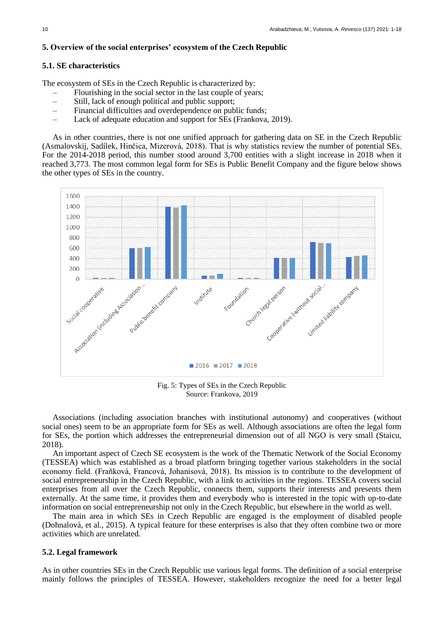# **5. Overview of the social enterprises' ecosystem of the Czech Republic**

### **5.1. SE characteristics**

The ecosystem of SEs in the Czech Republic is characterized by:

- Flourishing in the social sector in the last couple of years;
- Still, lack of enough political and public support;
- Financial difficulties and overdependence on public funds;
- Lack of adequate education and support for SEs (Frankova, 2019).

As in other countries, there is not one unified approach for gathering data on SE in the Czech Republic (Asmalovskij, Sadílek, Hinčica, Mizerová, 2018). That is why statistics review the number of potential SEs. For the 2014-2018 period, this number stood around 3,700 entities with a slight increase in 2018 when it reached 3,773. The most common legal form for SEs is Public Benefit Company and the figure below shows the other types of SEs in the country.



Fig. 5: Types of SEs in the Czech Republic Source: Frankova, 2019

Associations (including association branches with institutional autonomy) and cooperatives (without social ones) seem to be an appropriate form for SEs as well. Although associations are often the legal form for SEs, the portion which addresses the entrepreneurial dimension out of all NGO is very small (Staicu, 2018).

An important aspect of Czech SE ecosystem is the work of the Thematic Network of the Social Economy (TESSEA) which was established as a broad platform bringing together various stakeholders in the social economy field. (Fraňková, Francová, Johanisová, 2018). Its mission is to contribute to the development of social entrepreneurship in the Czech Republic, with a link to activities in the regions. TESSEA covers social enterprises from all over the Czech Republic, connects them, supports their interests and presents them externally. At the same time, it provides them and everybody who is interested in the topic with up-to-date information on social entrepreneurship not only in the Czech Republic, but elsewhere in the world as well.

The main area in which SEs in Czech Republic are engaged is the employment of disabled people (Dohnalová, et al., 2015). A typical feature for these enterprises is also that they often combine two or more activities which are unrelated.

## **5.2. Legal framework**

As in other countries SEs in the Czech Republic use various legal forms. The definition of a social enterprise mainly follows the principles of TESSEA. However, stakeholders recognize the need for a better legal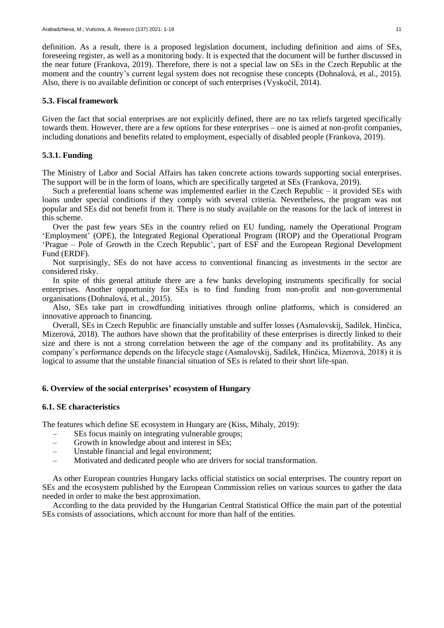definition. As a result, there is a proposed legislation document, including definition and aims of SEs, foreseeing register, as well as a monitoring body. It is expected that the document will be further discussed in the near future (Frankova, 2019). Therefore, there is not a special law on SEs in the Czech Republic at the moment and the country's current legal system does not recognise these concepts (Dohnalová, et al., 2015). Also, there is no available definition or concept of such enterprises (Vyskočil, 2014).

## **5.3. Fiscal framework**

Given the fact that social enterprises are not explicitly defined, there are no tax reliefs targeted specifically towards them. However, there are a few options for these enterprises – one is aimed at non-profit companies, including donations and benefits related to employment, especially of disabled people (Frankova, 2019).

# **5.3.1. Funding**

The Ministry of Labor and Social Affairs has taken concrete actions towards supporting social enterprises. The support will be in the form of loans, which are specifically targeted at SEs (Frankova, 2019).

Such a preferential loans scheme was implemented earlier in the Czech Republic – it provided SEs with loans under special conditions if they comply with several criteria. Nevertheless, the program was not popular and SEs did not benefit from it. There is no study available on the reasons for the lack of interest in this scheme.

Over the past few years SEs in the country relied on EU funding, namely the Operational Program 'Employment' (OPE), the Integrated Regional Operational Program (IROP) and the Operational Program 'Prague – Pole of Growth in the Czech Republic', part of ESF and the European Regional Development Fund (ERDF).

Not surprisingly, SEs do not have access to conventional financing as investments in the sector are considered risky.

In spite of this general attitude there are a few banks developing instruments specifically for social enterprises. Another opportunity for SEs is to find funding from non-profit and non-governmental organisations (Dohnalová, et al., 2015).

Also, SEs take part in crowdfunding initiatives through online platforms, which is considered an innovative approach to financing.

Overall, SEs in Czech Republic are financially unstable and suffer losses (Asmalovskij, Sadílek, Hinčica, Mizerová, 2018). The authors have shown that the profitability of these enterprises is directly linked to their size and there is not a strong correlation between the age of the company and its profitability. As any company's performance depends on the lifecycle stage (Asmalovskij, Sadílek, Hinčica, Mizerová, 2018) it is logical to assume that the unstable financial situation of SEs is related to their short life-span.

## **6. Overview of the social enterprises' ecosystem of Hungary**

# **6.1. SE characteristics**

The features which define SE ecosystem in Hungary are (Kiss, Mihaly, 2019):

- SEs focus mainly on integrating vulnerable groups;
- Growth in knowledge about and interest in SEs;
- Unstable financial and legal environment;
- Motivated and dedicated people who are drivers for social transformation.

As other European countries Hungary lacks official statistics on social enterprises. The country report on SEs and the ecosystem published by the European Commission relies on various sources to gather the data needed in order to make the best approximation.

According to the data provided by the Hungarian Central Statistical Office the main part of the potential SEs consists of associations, which account for more than half of the entities.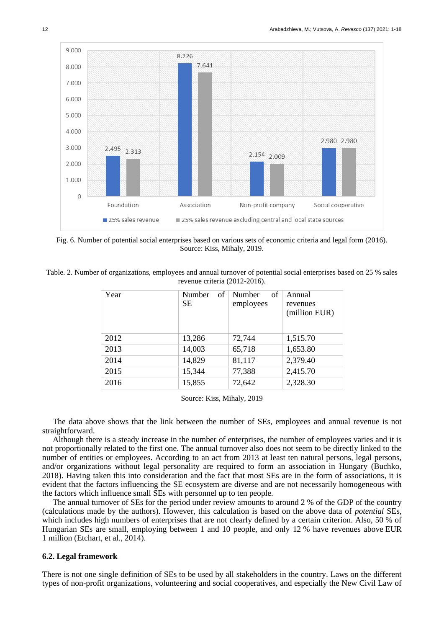

Fig. 6. Number of potential social enterprises based on various sets of economic criteria and legal form (2016). Source: Kiss, Mihaly, 2019.

| Table. 2. Number of organizations, employees and annual turnover of potential social enterprises based on 25 % sales |  |
|----------------------------------------------------------------------------------------------------------------------|--|
| revenue criteria (2012-2016).                                                                                        |  |

| Year | Number<br>of<br>SЕ | Number<br>of<br>employees | Annual<br>revenues<br>(million EUR) |
|------|--------------------|---------------------------|-------------------------------------|
| 2012 | 13,286             | 72,744                    | 1,515.70                            |
| 2013 | 14,003             | 65,718                    | 1,653.80                            |
| 2014 | 14,829             | 81,117                    | 2,379.40                            |
| 2015 | 15,344             | 77,388                    | 2,415.70                            |
| 2016 | 15,855             | 72,642                    | 2,328.30                            |

Source: Kiss, Mihaly, 2019

The data above shows that the link between the number of SEs, employees and annual revenue is not straightforward.

Although there is a steady increase in the number of enterprises, the number of employees varies and it is not proportionally related to the first one. The annual turnover also does not seem to be directly linked to the number of entities or employees. According to an act from 2013 at least ten natural persons, legal persons, and/or organizations without legal personality are required to form an association in Hungary (Buchko, 2018). Having taken this into consideration and the fact that most SEs are in the form of associations, it is evident that the factors influencing the SE ecosystem are diverse and are not necessarily homogeneous with the factors which influence small SEs with personnel up to ten people.

The annual turnover of SEs for the period under review amounts to around 2 % of the GDP of the country (calculations made by the authors). However, this calculation is based on the above data of *potential* SEs, which includes high numbers of enterprises that are not clearly defined by a certain criterion. Also, 50 % of Hungarian SEs are small, employing between 1 and 10 people, and only 12 % have revenues above EUR 1 million (Etchart, et al., 2014).

#### **6.2. Legal framework**

There is not one single definition of SEs to be used by all stakeholders in the country. Laws on the different types of non-profit organizations, volunteering and social cooperatives, and especially the New Civil Law of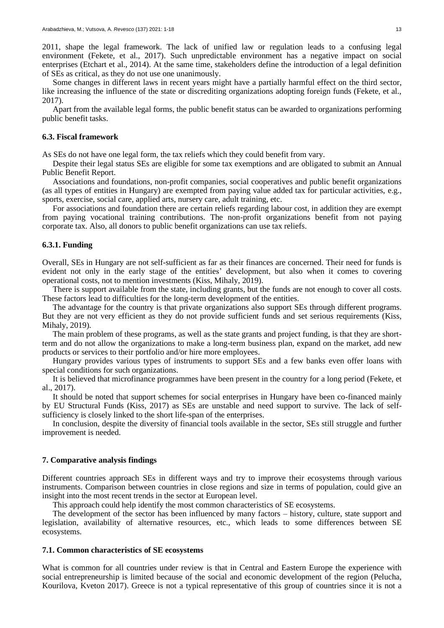2011, shape the legal framework. The lack of unified law or regulation leads to a confusing legal environment (Fekete, et al., 2017). Such unpredictable environment has a negative impact on social enterprises (Etchart et al., 2014). At the same time, stakeholders define the introduction of a legal definition of SEs as critical, as they do not use one unanimously.

Some changes in different laws in recent years might have a partially harmful effect on the third sector, like increasing the influence of the state or discrediting organizations adopting foreign funds (Fekete, et al., 2017).

Apart from the available legal forms, the public benefit status can be awarded to organizations performing public benefit tasks.

# **6.3. Fiscal framework**

As SEs do not have one legal form, the tax reliefs which they could benefit from vary.

Despite their legal status SEs are eligible for some tax exemptions and are obligated to submit an Annual Public Benefit Report.

Associations and foundations, non-profit companies, social cooperatives and public benefit organizations (as all types of entities in Hungary) are exempted from paying value added tax for particular activities, e.g., sports, exercise, social care, applied arts, nursery care, adult training, etc.

For associations and foundation there are certain reliefs regarding labour cost, in addition they are exempt from paying vocational training contributions. The non-profit organizations benefit from not paying corporate tax. Also, all donors to public benefit organizations can use tax reliefs.

#### **6.3.1. Funding**

Overall, SEs in Hungary are not self-sufficient as far as their finances are concerned. Their need for funds is evident not only in the early stage of the entities' development, but also when it comes to covering operational costs, not to mention investments (Kiss, Mihaly, 2019).

There is support available from the state, including grants, but the funds are not enough to cover all costs. These factors lead to difficulties for the long-term development of the entities.

The advantage for the country is that private organizations also support SEs through different programs. But they are not very efficient as they do not provide sufficient funds and set serious requirements (Kiss, Mihaly, 2019).

The main problem of these programs, as well as the state grants and project funding, is that they are shortterm and do not allow the organizations to make a long-term business plan, expand on the market, add new products or services to their portfolio and/or hire more employees.

Hungary provides various types of instruments to support SEs and a few banks even offer loans with special conditions for such organizations.

It is believed that microfinance programmes have been present in the country for a long period (Fekete, et al., 2017).

It should be noted that support schemes for social enterprises in Hungary have been co-financed mainly by EU Structural Funds (Kiss, 2017) as SEs are unstable and need support to survive. The lack of selfsufficiency is closely linked to the short life-span of the enterprises.

In conclusion, despite the diversity of financial tools available in the sector, SEs still struggle and further improvement is needed.

## **7. Comparative analysis findings**

Different countries approach SEs in different ways and try to improve their ecosystems through various instruments. Comparison between countries in close regions and size in terms of population, could give an insight into the most recent trends in the sector at European level.

This approach could help identify the most common characteristics of SE ecosystems.

The development of the sector has been influenced by many factors – history, culture, state support and legislation, availability of alternative resources, etc., which leads to some differences between SE ecosystems.

#### **7.1. Common characteristics of SE ecosystems**

What is common for all countries under review is that in Central and Eastern Europe the experience with social entrepreneurship is limited because of the social and economic development of the region (Pelucha, Kourilova, Kveton 2017). Greece is not a typical representative of this group of countries since it is not a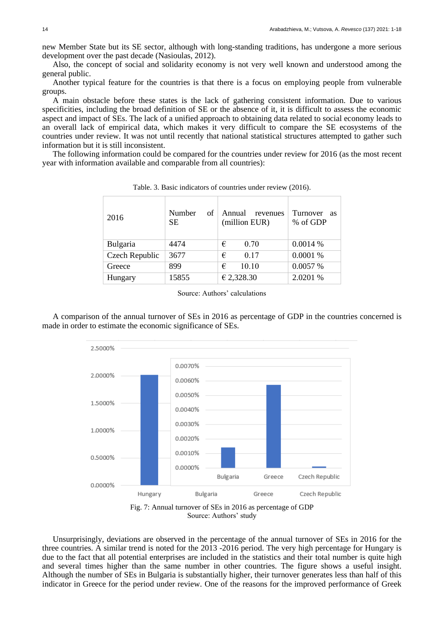new Member State but its SE sector, although with long-standing traditions, has undergone a more serious development over the past decade (Nasioulas, 2012).

Also, the concept of social and solidarity economy is not very well known and understood among the general public.

Another typical feature for the countries is that there is a focus on employing people from vulnerable groups.

A main obstacle before these states is the lack of gathering consistent information. Due to various specificities, including the broad definition of SE or the absence of it, it is difficult to assess the economic aspect and impact of SEs. The lack of a unified approach to obtaining data related to social economy leads to an overall lack of empirical data, which makes it very difficult to compare the SE ecosystems of the countries under review. It was not until recently that national statistical structures attempted to gather such information but it is still inconsistent.

The following information could be compared for the countries under review for 2016 (as the most recent year with information available and comparable from all countries):

| 2016           | Number<br>of<br><b>SE</b> | Annual<br>revenues<br>(million EUR) | Turnover<br><b>as</b><br>% of GDP |
|----------------|---------------------------|-------------------------------------|-----------------------------------|
| Bulgaria       | 4474                      | 0.70<br>€                           | 0.0014%                           |
| Czech Republic | 3677                      | €<br>0.17                           | 0.0001 %                          |
| Greece         | 899                       | 10.10<br>€                          | 0.0057 %                          |
| Hungary        | 15855                     | € 2,328.30                          | 2.0201 %                          |

Table. 3. Basic indicators of countries under review (2016).

Source: Authors' calculations

A comparison of the annual turnover of SEs in 2016 as percentage of GDP in the countries concerned is made in order to estimate the economic significance of SEs.



Fig. 7: Annual turnover of SEs in 2016 as percentage of GDP Source: Authors' study

Unsurprisingly, deviations are observed in the percentage of the annual turnover of SEs in 2016 for the three countries. A similar trend is noted for the 2013 -2016 period. The very high percentage for Hungary is due to the fact that all potential enterprises are included in the statistics and their total number is quite high and several times higher than the same number in other countries. The figure shows a useful insight. Although the number of SEs in Bulgaria is substantially higher, their turnover generates less than half of this indicator in Greece for the period under review. One of the reasons for the improved performance of Greek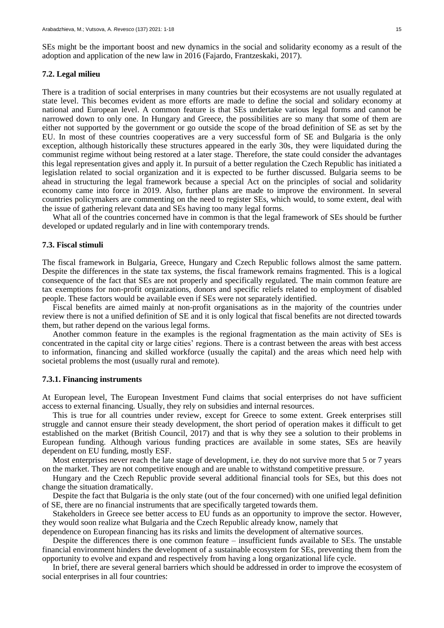SEs might be the important boost and new dynamics in the social and solidarity economy as a result of the adoption and application of the new law in 2016 (Fajardo, Frantzeskaki, 2017).

#### **7.2. Legal milieu**

There is a tradition of social enterprises in many countries but their ecosystems are not usually regulated at state level. This becomes evident as more efforts are made to define the social and solidary economy at national and European level. A common feature is that SEs undertake various legal forms and cannot be narrowed down to only one. In Hungary and Greece, the possibilities are so many that some of them are either not supported by the government or go outside the scope of the broad definition of SE as set by the EU. In most of these countries cooperatives are a very successful form of SE and Bulgaria is the only exception, although historically these structures appeared in the early 30s, they were liquidated during the communist regime without being restored at a later stage. Therefore, the state could consider the advantages this legal representation gives and apply it. In pursuit of a better regulation the Czech Republic has initiated a legislation related to social organization and it is expected to be further discussed. Bulgaria seems to be ahead in structuring the legal framework because a special Act on the principles of social and solidarity economy came into force in 2019. Also, further plans are made to improve the environment. In several countries policymakers are commenting on the need to register SEs, which would, to some extent, deal with the issue of gathering relevant data and SEs having too many legal forms.

What all of the countries concerned have in common is that the legal framework of SEs should be further developed or updated regularly and in line with contemporary trends.

#### **7.3. Fiscal stimuli**

The fiscal framework in Bulgaria, Greece, Hungary and Czech Republic follows almost the same pattern. Despite the differences in the state tax systems, the fiscal framework remains fragmented. This is a logical consequence of the fact that SEs are not properly and specifically regulated. The main common feature are tax exemptions for non-profit organizations, donors and specific reliefs related to employment of disabled people. These factors would be available even if SEs were not separately identified.

Fiscal benefits are aimed mainly at non-profit organisations as in the majority of the countries under review there is not a unified definition of SE and it is only logical that fiscal benefits are not directed towards them, but rather depend on the various legal forms.

Another common feature in the examples is the regional fragmentation as the main activity of SEs is concentrated in the capital city or large cities' regions. There is a contrast between the areas with best access to information, financing and skilled workforce (usually the capital) and the areas which need help with societal problems the most (usually rural and remote).

## **7.3.1. Financing instruments**

At European level, The European Investment Fund claims that social enterprises do not have sufficient access to external financing. Usually, they rely on subsidies and internal resources.

This is true for all countries under review, except for Greece to some extent. Greek enterprises still struggle and cannot ensure their steady development, the short period of operation makes it difficult to get established on the market (British Council, 2017) and that is why they see a solution to their problems in European funding. Although various funding practices are available in some states, SEs are heavily dependent on EU funding, mostly ESF.

Most enterprises never reach the late stage of development, i.e. they do not survive more that 5 or 7 years on the market. They are not competitive enough and are unable to withstand competitive pressure.

Hungary and the Czech Republic provide several additional financial tools for SEs, but this does not change the situation dramatically.

Despite the fact that Bulgaria is the only state (out of the four concerned) with one unified legal definition of SE, there are no financial instruments that are specifically targeted towards them.

Stakeholders in Greece see better access to EU funds as an opportunity to improve the sector. However, they would soon realize what Bulgaria and the Czech Republic already know, namely that

dependence on European financing has its risks and limits the development of alternative sources.

Despite the differences there is one common feature – insufficient funds available to SEs. The unstable financial environment hinders the development of a sustainable ecosystem for SEs, preventing them from the opportunity to evolve and expand and respectively from having a long organizational life cycle.

In brief, there are several general barriers which should be addressed in order to improve the ecosystem of social enterprises in all four countries: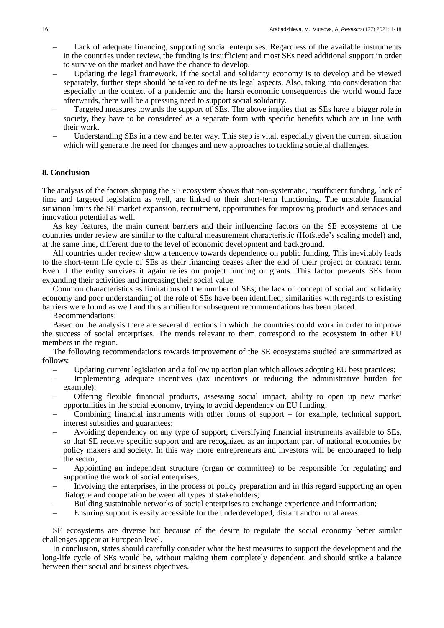- Lack of adequate financing, supporting social enterprises. Regardless of the available instruments in the countries under review, the funding is insufficient and most SEs need additional support in order to survive on the market and have the chance to develop.
- Updating the legal framework. If the social and solidarity economy is to develop and be viewed separately, further steps should be taken to define its legal aspects. Also, taking into consideration that especially in the context of a pandemic and the harsh economic consequences the world would face afterwards, there will be a pressing need to support social solidarity.
- Targeted measures towards the support of SEs. The above implies that as SEs have a bigger role in society, they have to be considered as a separate form with specific benefits which are in line with their work.
- Understanding SEs in a new and better way. This step is vital, especially given the current situation which will generate the need for changes and new approaches to tackling societal challenges.

## **8. Conclusion**

The analysis of the factors shaping the SE ecosystem shows that non-systematic, insufficient funding, lack of time and targeted legislation as well, are linked to their short-term functioning. The unstable financial situation limits the SE market expansion, recruitment, opportunities for improving products and services and innovation potential as well.

As key features, the main current barriers and their influencing factors on the SE ecosystems of the countries under review are similar to the cultural measurement characteristic (Hofstede's scaling model) and, at the same time, different due to the level of economic development and background.

All countries under review show a tendency towards dependence on public funding. This inevitably leads to the short-term life cycle of SEs as their financing ceases after the end of their project or contract term. Even if the entity survives it again relies on project funding or grants. This factor prevents SEs from expanding their activities and increasing their social value.

Common characteristics as limitations of the number of SEs; the lack of concept of social and solidarity economy and poor understanding of the role of SEs have been identified; similarities with regards to existing barriers were found as well and thus a milieu for subsequent recommendations has been placed.

Recommendations:

Based on the analysis there are several directions in which the countries could work in order to improve the success of social enterprises. The trends relevant to them correspond to the ecosystem in other EU members in the region.

The following recommendations towards improvement of the SE ecosystems studied are summarized as follows:

- Updating current legislation and a follow up action plan which allows adopting EU best practices;
- Implementing adequate incentives (tax incentives or reducing the administrative burden for example);
- Offering flexible financial products, assessing social impact, ability to open up new market opportunities in the social economy, trying to avoid dependency on EU funding;
- Combining financial instruments with other forms of support for example, technical support, interest subsidies and guarantees;
- Avoiding dependency on any type of support, diversifying financial instruments available to SEs, so that SE receive specific support and are recognized as an important part of national economies by policy makers and society. In this way more entrepreneurs and investors will be encouraged to help the sector;
- Appointing an independent structure (organ or committee) to be responsible for regulating and supporting the work of social enterprises;
- Involving the enterprises, in the process of policy preparation and in this regard supporting an open dialogue and cooperation between all types of stakeholders;
- Building sustainable networks of social enterprises to exchange experience and information;
- Ensuring support is easily accessible for the underdeveloped, distant and/or rural areas.

SE ecosystems are diverse but because of the desire to regulate the social economy better similar challenges appear at European level.

In conclusion, states should carefully consider what the best measures to support the development and the long-life cycle of SEs would be, without making them completely dependent, and should strike a balance between their social and business objectives.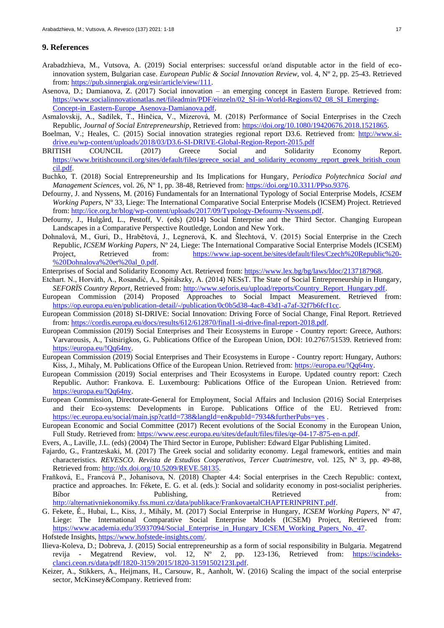#### **9. References**

- Arabadzhieva, M., Vutsova, A. (2019) Social enterprises: successful or/and disputable actor in the field of ecoinnovation system, Bulgarian case. *European Public & Social Innovation Review*, vol. 4, Nº 2, pp. 25-43. Retrieved from[: https://pub.sinnergiak.org/esir/article/view/111.](https://pub.sinnergiak.org/esir/article/view/111)
- Asenova, D.; Damianova, Z. (2017) Social innovation an emerging concept in Eastern Europe. Retrieved from: [https://www.socialinnovationatlas.net/fileadmin/PDF/einzeln/02\\_SI-in-World-Regions/02\\_08\\_SI\\_Emerging-](https://www.socialinnovationatlas.net/fileadmin/PDF/einzeln/02_SI-in-World-Regions/02_08_SI_Emerging-Concept-in_Eastern-Europe_Asenova-Damianova.pdf)[Concept-in\\_Eastern-Europe\\_Asenova-Damianova.pdf.](https://www.socialinnovationatlas.net/fileadmin/PDF/einzeln/02_SI-in-World-Regions/02_08_SI_Emerging-Concept-in_Eastern-Europe_Asenova-Damianova.pdf)
- Asmalovskij, A., Sadílek, T., Hinčica, V., Mizerová, M. (2018) Performance of Social Enterprises in the Czech Republic, *Journal of Social Entrepreneurship*, Retrieved from: [https://doi.org/10.1080/19420676.2018.1521865.](https://doi.org/10.1080/19420676.2018.1521865)
- Boelman, V.; Heales, C. (2015) Social innovation strategies regional report D3.6. Retrieved from: [http://www.si](http://www.si-drive.eu/wp-content/uploads/2018/03/D3.6-SI-DRIVE-Global-Region-Report-2015.pdf)[drive.eu/wp-content/uploads/2018/03/D3.6-SI-DRIVE-Global-Region-Report-2015.pdf](http://www.si-drive.eu/wp-content/uploads/2018/03/D3.6-SI-DRIVE-Global-Region-Report-2015.pdf)
- BRITISH COUNCIL (2017) Greece Social and Solidarity Economy Report. [https://www.britishcouncil.org/sites/default/files/greece\\_social\\_and\\_solidarity\\_economy\\_report\\_greek\\_british\\_coun](https://www.britishcouncil.org/sites/default/files/greece_social_and_solidarity_economy_report_greek_british_council.pdf) [cil.pdf.](https://www.britishcouncil.org/sites/default/files/greece_social_and_solidarity_economy_report_greek_british_council.pdf)
- Buchko, T. (2018) Social Entrepreneurship and Its Implications for Hungary, *Periodica Polytechnica Social and Management Sciences*, vol. 26, Nº 1, pp. 38-48, Retrieved from: [https://doi.org/10.3311/PPso.9376.](https://doi.org/10.3311/PPso.9376)
- Defourny, J. and Nyssens, M. (2016) Fundamentals for an International Typology of Social Enterprise Models, *ICSEM Working Papers*, Nº 33, Liege: The International Comparative Social Enterprise Models (ICSEM) Project. Retrieved from[: http://ice.org.br/blog/wp-content/uploads/2017/09/Typology-Defourny-Nyssens.pdf.](http://ice.org.br/blog/wp-content/uploads/2017/09/Typology-Defourny-Nyssens.pdf)
- Defourny, J., Hulgård, L., Pestoff, V. (eds) (2014) Social Enterprise and the Third Sector. Changing European Landscapes in a Comparative Perspective Routledge, London and New York.
- Dohnalová, M., Guri, D., Hrabětová, J., Legnerová, K. and Šlechtová, V. (2015) Social Enterprise in the Czech Republic, *ICSEM Working Papers*, Nº 24, Liege: The International Comparative Social Enterprise Models (ICSEM) Project, Retrieved from: [https://www.iap-socent.be/sites/default/files/Czech%20Republic%20-](https://www.iap-socent.be/sites/default/files/Czech%20Republic%20-%20Dohnalova%20et%20al_0.pdf) [%20Dohnalova%20et%20al\\_0.pdf.](https://www.iap-socent.be/sites/default/files/Czech%20Republic%20-%20Dohnalova%20et%20al_0.pdf)
- Enterprises of Social and Solidarity Economy Act. Retrieved from[: https://www.lex.bg/bg/laws/ldoc/2137187968.](https://www.lex.bg/bg/laws/ldoc/2137187968)
- Etchart. N., Horváth, A., Rosandić, A., Spitálszky, A. (2014) NESsT. The State of Social Entrepreneurship in Hungary, *SEFORÏS Country Report*, Retrieved from: [http://www.seforis.eu/upload/reports/Country\\_Report\\_Hungary.pdf.](http://www.seforis.eu/upload/reports/Country_Report_Hungary.pdf)
- European Commission (2014) Proposed Approaches to Social Impact Measurement. Retrieved from: [https://op.europa.eu/en/publication-detail/-/publication/0c0b5d38-4ac8-43d1-a7af-32f7b6fcf1cc.](https://op.europa.eu/en/publication-detail/-/publication/0c0b5d38-4ac8-43d1-a7af-32f7b6fcf1cc)
- European Commission (2018) SI-DRIVE: Social Innovation: Driving Force of Social Change, Final Report. Retrieved from[: https://cordis.europa.eu/docs/results/612/612870/final1-si-drive-final-report-2018.pdf.](https://cordis.europa.eu/docs/results/612/612870/final1-si-drive-final-report-2018.pdf)
- European Commission (2019) Social Enterprises and Their Ecosystems in Europe Country report: Greece, Authors: Varvarousis, A., Tsitsirigkos, G. Publications Office of the European Union, DOI: 10.2767/51539. Retrieved from: [https://europa.eu/!Qq64ny.](https://europa.eu/!Qq64ny)
- European Commission (2019) Social Enterprises and Their Ecosystems in Europe Country report: Hungary, Authors: Kiss, J., Mihaly, M. Publications Office of the European Union. Retrieved from: [https://europa.eu/!Qq64ny.](https://europa.eu/!Qq64ny)
- European Commission (2019) Social enterprises and Their Ecosystems in Europe. Updated country report: Czech Republic. Author: Frankova. E. Luxembourg: Publications Office of the European Union. Retrieved from: [https://europa.eu/!Qq64ny.](https://europa.eu/!Qq64ny)
- European Commission, Directorate-General for Employment, Social Affairs and Inclusion (2016) Social Enterprises and their Eco-systems: Developments in Europe. Publications Office of the EU. Retrieved from: <https://ec.europa.eu/social/main.jsp?catId=738&langId=en&pubId=7934&furtherPubs=yes>.
- European Economic and Social Committee (2017) Recent evolutions of the Social Economy in the European Union, Full Study. Retrieved from: [https://www.eesc.europa.eu/sites/default/files/files/qe-04-17-875-en-n.pdf.](https://www.eesc.europa.eu/sites/default/files/files/qe-04-17-875-en-n.pdf)
- Evers, A., Laville, J.L. (eds) (2004) The Third Sector in Europe, Publisher: Edward Elgar Publishing Limited.
- Fajardo, G., Frantzeskaki, M. (2017) The Greek social and solidarity economy. Legal framework, entities and main characteristics. *REVESCO. Revista de Estudios Cooperativos, Tercer Cuatrimestre,* vol. 125, Nº 3, pp. 49-88, Retrieved from: [http://dx.doi.org/10.5209/REVE.58135.](http://dx.doi.org/10.5209/REVE.58135)
- Fraňková, E., Francová P., Johanisova, N. (2018) Chapter 4.4: Social enterprises in the Czech Republic: context, practice and approaches. In: Fékete, E. G. et al. (eds.): Social and solidarity economy in post-socialist peripheries. Bíbor Publishing, Retrieved from: [http://alternativniekonomiky.fss.muni.cz/data/publikace/FrankovaetalCHAPTERINPRINT.pdf.](http://alternativniekonomiky.fss.muni.cz/data/publikace/FrankovaetalCHAPTERINPRINT.pdf)
- G. Fekete, É., Hubai, L., Kiss, J., Mihály, M. (2017) Social Enterprise in Hungary, *ICSEM Working Papers*, Nº 47, Liege: The International Comparative Social Enterprise Models (ICSEM) Project, Retrieved from: [https://www.academia.edu/35937094/Social\\_Enterprise\\_in\\_Hungary\\_ICSEM\\_Working\\_Papers\\_No.\\_47.](https://www.academia.edu/35937094/Social_Enterprise_in_Hungary_ICSEM_Working_Papers_No._47)
- Hofstede Insights, [https://www.hofstede-insights.com/.](https://www.hofstede-insights.com/)
- Ilieva-Koleva, D.; Dobreva, J. (2015) Social entrepreneurship as a form of social responsibility in Bulgaria. Megatrend revija - Megatrend Review, vol. 12, Nº 2, pp. 123-136, Retrieved from: [https://scindeks](https://scindeks-clanci.ceon.rs/data/pdf/1820-3159/2015/1820-31591502123I.pdf)[clanci.ceon.rs/data/pdf/1820-3159/2015/1820-31591502123I.pdf.](https://scindeks-clanci.ceon.rs/data/pdf/1820-3159/2015/1820-31591502123I.pdf)
- Keizer, A., Stikkers, A., Heijmans, H., Carsouw, R., Aanholt, W. (2016) Scaling the impact of the social enterprise sector, McKinsey&Company. Retrieved from: